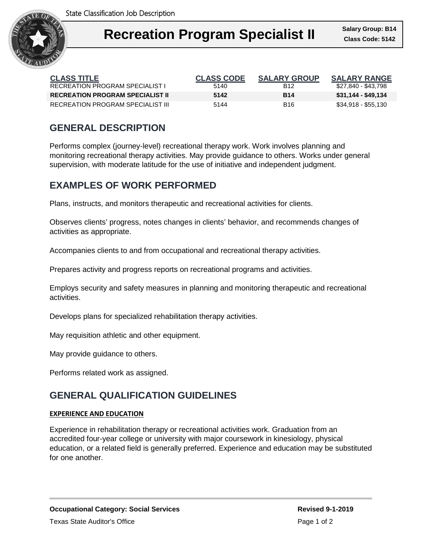

| <b>CLASS TITLE</b>                      | <b>CLASS CODE</b> | <b>SALARY GROUP</b> | <b>SALARY RANGE</b> |
|-----------------------------------------|-------------------|---------------------|---------------------|
| RECREATION PROGRAM SPECIALIST I         | 5140              | B <sub>12</sub>     | \$27.840 - \$43.798 |
| <b>RECREATION PROGRAM SPECIALIST II</b> | 5142              | <b>B14</b>          | \$31,144 - \$49,134 |
| RECREATION PROGRAM SPECIALIST III       | 5144              | B16                 | \$34,918 - \$55,130 |

# **GENERAL DESCRIPTION**

Performs complex (journey-level) recreational therapy work. Work involves planning and monitoring recreational therapy activities. May provide guidance to others. Works under general supervision, with moderate latitude for the use of initiative and independent judgment.

### **EXAMPLES OF WORK PERFORMED**

Plans, instructs, and monitors therapeutic and recreational activities for clients.

Observes clients' progress, notes changes in clients' behavior, and recommends changes of activities as appropriate.

Accompanies clients to and from occupational and recreational therapy activities.

Prepares activity and progress reports on recreational programs and activities.

Employs security and safety measures in planning and monitoring therapeutic and recreational activities.

Develops plans for specialized rehabilitation therapy activities.

May requisition athletic and other equipment.

May provide guidance to others.

Performs related work as assigned.

## **GENERAL QUALIFICATION GUIDELINES**

#### **EXPERIENCE AND EDUCATION**

Experience in rehabilitation therapy or recreational activities work. Graduation from an accredited four-year college or university with major coursework in kinesiology, physical education, or a related field is generally preferred. Experience and education may be substituted for one another.